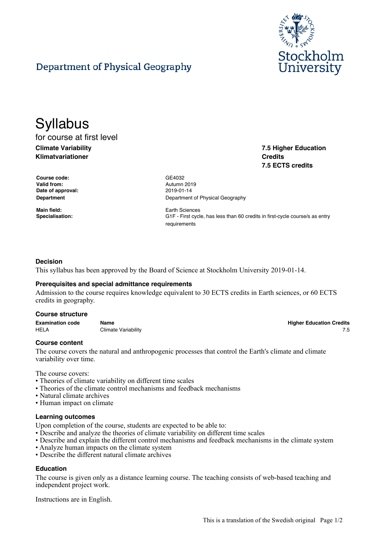

**7.5 Higher Education**

**Higher Education Credits** 

**7.5 ECTS credits**

**Credits**

# Department of Physical Geography

# **Syllabus** for course at first level

**Climate Variability Klimatvariationer**

**Course code:** GE4032 **Valid from:** Autumn 2019 **Date of approval:** 2019-01-14

**Main field:** Earth Sciences

**Department** Department **Department** Of Physical Geography

**Specialisation:** G1F - First cycle, has less than 60 credits in first-cycle course/s as entry requirements

# **Decision**

This syllabus has been approved by the Board of Science at Stockholm University 2019-01-14.

## **Prerequisites and special admittance requirements**

Admission to the course requires knowledge equivalent to 30 ECTS credits in Earth sciences, or 60 ECTS credits in geography.

#### **Course structure**

| <b>Examination code</b> | Name                | <b>Higher Education Credits</b> |
|-------------------------|---------------------|---------------------------------|
| HEL/                    | Climate Variability |                                 |

**Course content**

The course covers the natural and anthropogenic processes that control the Earth's climate and climate variability over time.

The course covers:

- Theories of climate variability on different time scales
- Theories of the climate control mechanisms and feedback mechanisms
- Natural climate archives
- Human impact on climate

#### **Learning outcomes**

Upon completion of the course, students are expected to be able to:

- Describe and analyze the theories of climate variability on different time scales
- Describe and explain the different control mechanisms and feedback mechanisms in the climate system
- Analyze human impacts on the climate system
- Describe the different natural climate archives

# **Education**

The course is given only as a distance learning course. The teaching consists of web-based teaching and independent project work.

Instructions are in English.